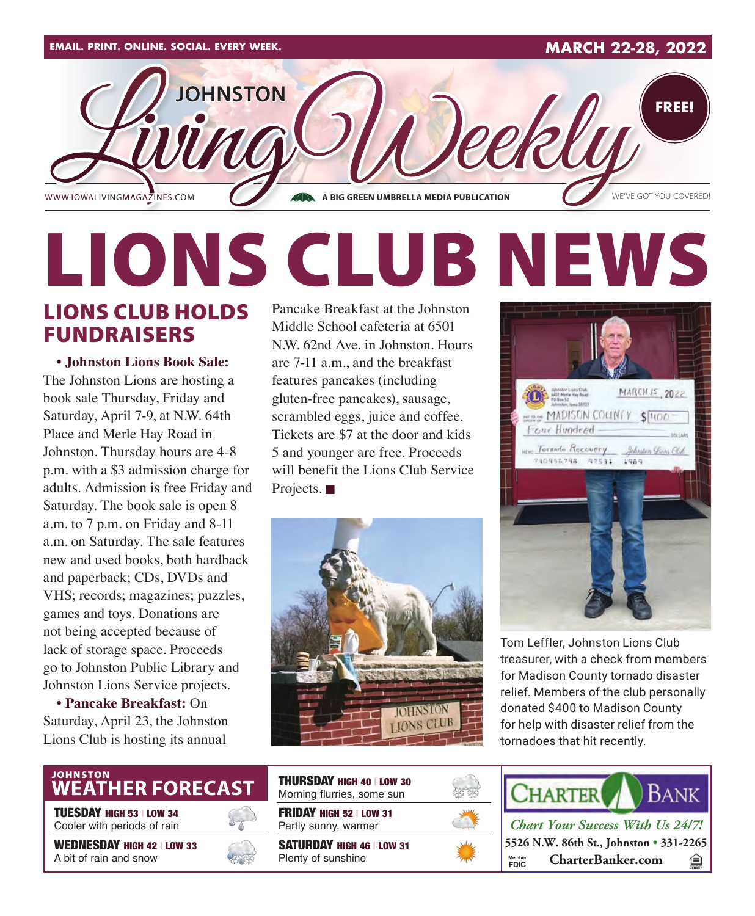

# LIONS CLUB NEWS Pancake Breakfast at the Johnston

### LIONS CLUB HOLDS FUNDRAISERS

**• Johnston Lions Book Sale:** The Johnston Lions are hosting a book sale Thursday, Friday and Saturday, April 7-9, at N.W. 64th Place and Merle Hay Road in Johnston. Thursday hours are 4-8 p.m. with a \$3 admission charge for adults. Admission is free Friday and Saturday. The book sale is open 8 a.m. to 7 p.m. on Friday and 8-11 a.m. on Saturday. The sale features new and used books, both hardback and paperback; CDs, DVDs and VHS; records; magazines; puzzles, games and toys. Donations are not being accepted because of lack of storage space. Proceeds go to Johnston Public Library and Johnston Lions Service projects.

**• Pancake Breakfast:** On Saturday, April 23, the Johnston Lions Club is hosting its annual

Middle School cafeteria at 6501 N.W. 62nd Ave. in Johnston. Hours are 7-11 a.m., and the breakfast features pancakes (including gluten-free pancakes), sausage, scrambled eggs, juice and coffee. Tickets are \$7 at the door and kids 5 and younger are free. Proceeds will benefit the Lions Club Service Projects.  $\blacksquare$ 





Tom Leffler, Johnston Lions Club treasurer, with a check from members for Madison County tornado disaster relief. Members of the club personally donated \$400 to Madison County for help with disaster relief from the tornadoes that hit recently.

## JOHNSTON<br>WEATHER FORECAST

TUESDAY HIGH 53 | LOW 34 Cooler with periods of rain

WEDNESDAY HIGH 42 | LOW 33 A bit of rain and snow



FRIDAY HIGH 52 | LOW 31 Partly sunny, warmer THURSDAY HIGH 40 | LOW 30 Morning flurries, some sun

SATURDAY HIGH 46 | LOW 31 Plenty of sunshine





*Chart Your Success With Us 24/7!* **5526 N.W. 86th St., Johnston • 331-2265 FDIC CharterBanker.com** া **Member**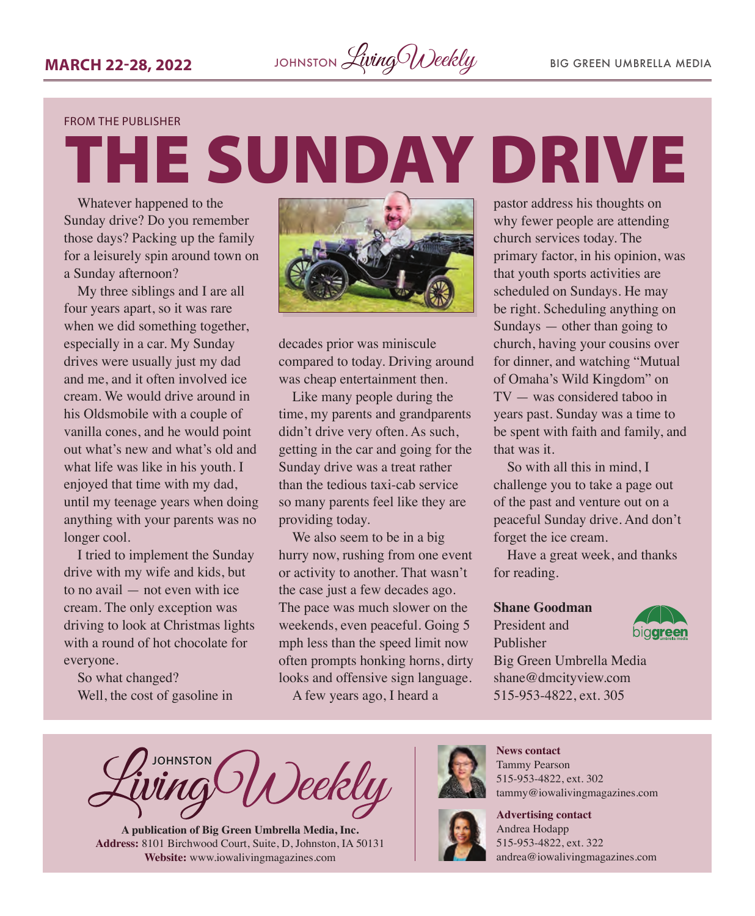#### FROM THE PUBLISHER

THE SUNDAY DRIVE

Whatever happened to the Sunday drive? Do you remember those days? Packing up the family for a leisurely spin around town on a Sunday afternoon?

My three siblings and I are all four years apart, so it was rare when we did something together, especially in a car. My Sunday drives were usually just my dad and me, and it often involved ice cream. We would drive around in his Oldsmobile with a couple of vanilla cones, and he would point out what's new and what's old and what life was like in his youth. I enjoyed that time with my dad, until my teenage years when doing anything with your parents was no longer cool.

I tried to implement the Sunday drive with my wife and kids, but to no avail — not even with ice cream. The only exception was driving to look at Christmas lights with a round of hot chocolate for everyone.

So what changed? Well, the cost of gasoline in



decades prior was miniscule compared to today. Driving around was cheap entertainment then.

Like many people during the time, my parents and grandparents didn't drive very often. As such, getting in the car and going for the Sunday drive was a treat rather than the tedious taxi-cab service so many parents feel like they are providing today.

We also seem to be in a big hurry now, rushing from one event or activity to another. That wasn't the case just a few decades ago. The pace was much slower on the weekends, even peaceful. Going 5 mph less than the speed limit now often prompts honking horns, dirty looks and offensive sign language.

A few years ago, I heard a

pastor address his thoughts on why fewer people are attending church services today. The primary factor, in his opinion, was that youth sports activities are scheduled on Sundays. He may be right. Scheduling anything on Sundays — other than going to church, having your cousins over for dinner, and watching "Mutual of Omaha's Wild Kingdom" on TV — was considered taboo in years past. Sunday was a time to be spent with faith and family, and that was it.

So with all this in mind, I challenge you to take a page out of the past and venture out on a peaceful Sunday drive. And don't forget the ice cream.

Have a great week, and thanks for reading.

#### **Shane Goodman**

President and Publisher



Big Green Umbrella Media shane@dmcityview.com 515-953-4822, ext. 305

**JOHNSTON** Deekly

**A publication of Big Green Umbrella Media, Inc. Address:** 8101 Birchwood Court, Suite, D, Johnston, IA 50131 **Website:** [www.iowalivingmagazines.com](http://www.iowalivingmagazines.com)



**News contact** Tammy Pearson 515-953-4822, ext. 302 [tammy@iowalivingmagazines.com](mailto:tammy@iowalivingmagazines.com)



**Advertising contact** Andrea Hodapp 515-953-4822, ext. 322 [andrea@iowalivingmagazines.com](mailto:andrea@iowalivingmagazines.com)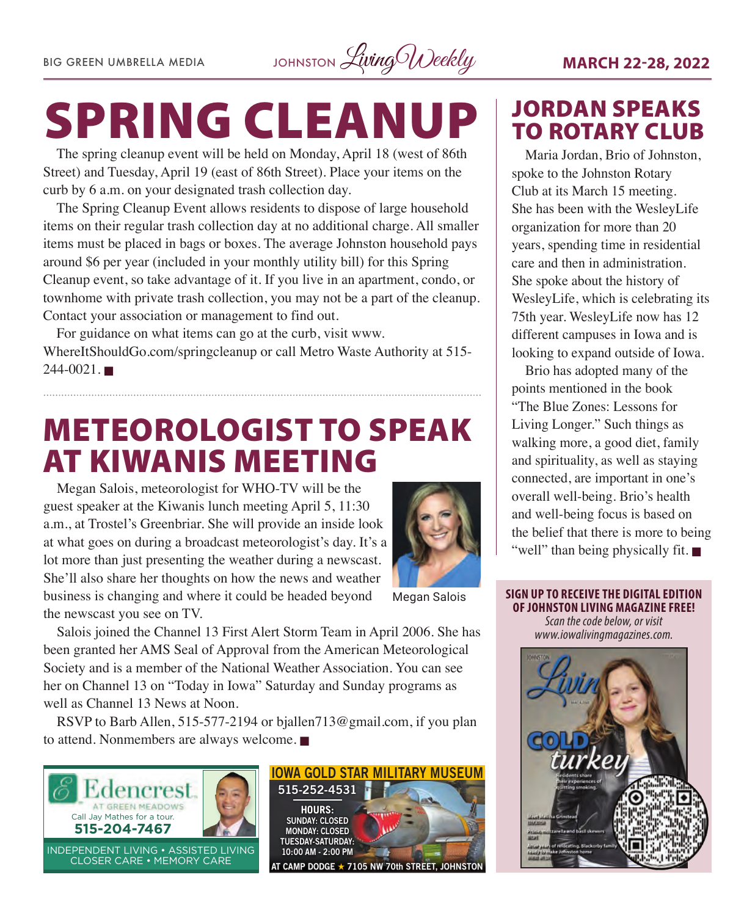BIG GREEN UMBRELLA MEDIA JOHNSTON Living Weekly **MARCH 22-28, 2022** 

# SPRING CLEANUP

The spring cleanup event will be held on Monday, April 18 (west of 86th Street) and Tuesday, April 19 (east of 86th Street). Place your items on the curb by 6 a.m. on your designated trash collection day.

The Spring Cleanup Event allows residents to dispose of large household items on their regular trash collection day at no additional charge. All smaller items must be placed in bags or boxes. The average Johnston household pays around \$6 per year (included in your monthly utility bill) for this Spring Cleanup event, so take advantage of it. If you live in an apartment, condo, or townhome with private trash collection, you may not be a part of the cleanup. Contact your association or management to find out.

For guidance on what items can go at the curb, visit [www.](http://www.WhereItShouldGo.com/springcleanup) [WhereItShouldGo.com/springcleanup](http://www.WhereItShouldGo.com/springcleanup) or call Metro Waste Authority at 515-  $244 - 0021$ .

## METEOROLOGIST TO SPEAK AT KIWANIS MEETING

Megan Salois, meteorologist for WHO-TV will be the guest speaker at the Kiwanis lunch meeting April 5, 11:30 a.m., at Trostel's Greenbriar. She will provide an inside look at what goes on during a broadcast meteorologist's day. It's a lot more than just presenting the weather during a newscast. She'll also share her thoughts on how the news and weather business is changing and where it could be headed beyond the newscast you see on TV.



Megan Salois

Salois joined the Channel 13 First Alert Storm Team in April 2006. She has been granted her AMS Seal of Approval from the American Meteorological Society and is a member of the National Weather Association. You can see her on Channel 13 on "Today in Iowa" Saturday and Sunday programs as well as Channel 13 News at Noon.

RSVP to Barb Allen, 515-577-2194 or [bjallen713@gmail.com](mailto:bjallen713@gmail.com), if you plan to attend. Nonmembers are always welcome.  $\blacksquare$ 





### JORDAN SPEAKS TO ROTARY CLUB

Maria Jordan, Brio of Johnston, spoke to the Johnston Rotary Club at its March 15 meeting. She has been with the WesleyLife organization for more than 20 years, spending time in residential care and then in administration. She spoke about the history of WesleyLife, which is celebrating its 75th year. WesleyLife now has 12 different campuses in Iowa and is looking to expand outside of Iowa.

Brio has adopted many of the points mentioned in the book "The Blue Zones: Lessons for Living Longer." Such things as walking more, a good diet, family and spirituality, as well as staying connected, are important in one's overall well-being. Brio's health and well-being focus is based on the belief that there is more to being "well" than being physically fit.  $\blacksquare$ 

**SIGN UP TO RECEIVE THE DIGITAL EDITION OF JOHNSTON LIVING MAGAZINE FREE!**  *Scan the code below, or visit [www.iowalivingmagazines.com.](http://www.iowalivingmagazines.com)*

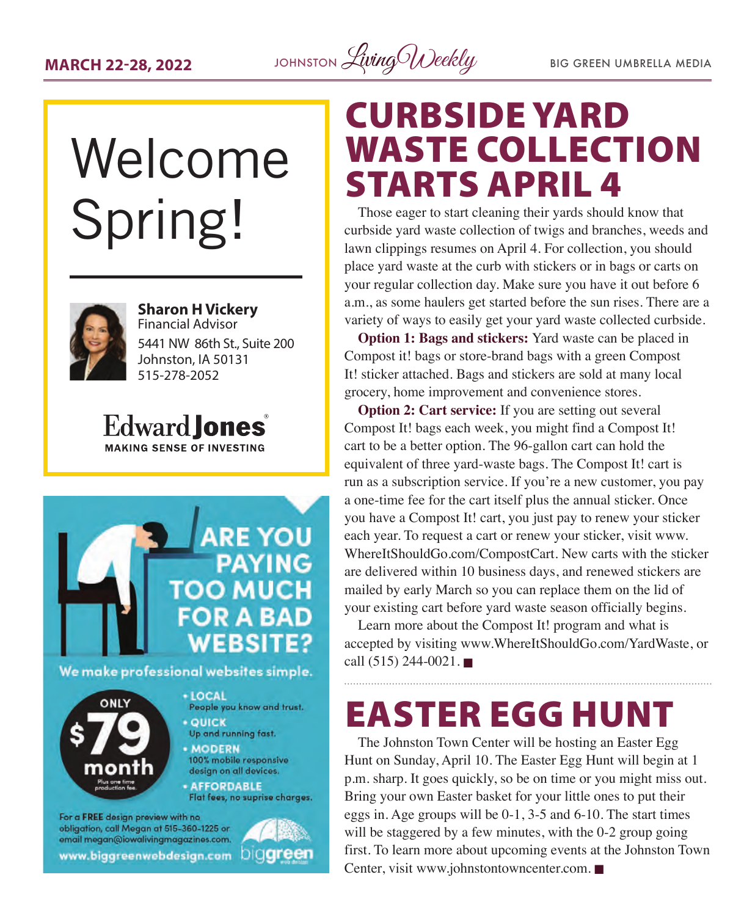

## veicom you check off Spring! list items. Welcome



**Financial Advisors** Sharon H Vickery **Financial Advisor 12 5441 NW 86th St., Suite 200** Johnston, IA 50131 515-278-2052

**Edward lones MAKING SENSE OF INVESTING** 

edwardjones.com



#### We make professional websites simple.



+ LOCAL People you know and trust. **• QUICK** 

- Up and running fast.
- · MODERN 100% mobile responsive design on all devices.
- **AFFORDABLE**

Flat fees, no suprise charges.

For a FREE design preview with no obligation, call Megan at 515-360-1225 or email megan@iowalivingmagazines.com. www.biggreenwebdesign.com DIOGreen



## CURBSIDE YARD WASTE COLLECTION STARTS APRIL 4

Those eager to start cleaning their yards should know that curbside yard waste collection of twigs and branches, weeds and lawn clippings resumes on April 4. For collection, you should place yard waste at the curb with stickers or in bags or carts on your regular collection day. Make sure you have it out before 6 a.m., as some haulers get started before the sun rises. There are a variety of ways to easily get your yard waste collected curbside.

**Option 1: Bags and stickers:** Yard waste can be placed in Compost it! bags or store-brand bags with a green Compost It! sticker attached. Bags and stickers are sold at many local grocery, home improvement and convenience stores.

**Option 2: Cart service:** If you are setting out several Compost It! bags each week, you might find a Compost It! cart to be a better option. The 96-gallon cart can hold the equivalent of three yard-waste bags. The Compost It! cart is run as a subscription service. If you're a new customer, you pay a one-time fee for the cart itself plus the annual sticker. Once you have a Compost It! cart, you just pay to renew your sticker each year. To request a cart or renew your sticker, visit [www.](http://www.WhereItShouldGo.com/CompostCart) [WhereItShouldGo.com/CompostCart](http://www.WhereItShouldGo.com/CompostCart). New carts with the sticker are delivered within 10 business days, and renewed stickers are mailed by early March so you can replace them on the lid of your existing cart before yard waste season officially begins.

Learn more about the Compost It! program and what is accepted by visiting [www.WhereItShouldGo.com/YardWaste](http://www.WhereItShouldGo.com/YardWaste), or call  $(515)$  244-0021.

## EASTER EGG HUNT

The Johnston Town Center will be hosting an Easter Egg Hunt on Sunday, April 10. The Easter Egg Hunt will begin at 1 p.m. sharp. It goes quickly, so be on time or you might miss out. Bring your own Easter basket for your little ones to put their eggs in. Age groups will be 0-1, 3-5 and 6-10. The start times will be staggered by a few minutes, with the 0-2 group going first. To learn more about upcoming events at the Johnston Town Center, visit [www.johnstontowncenter.com](http://www.johnstontowncenter.com).  $\blacksquare$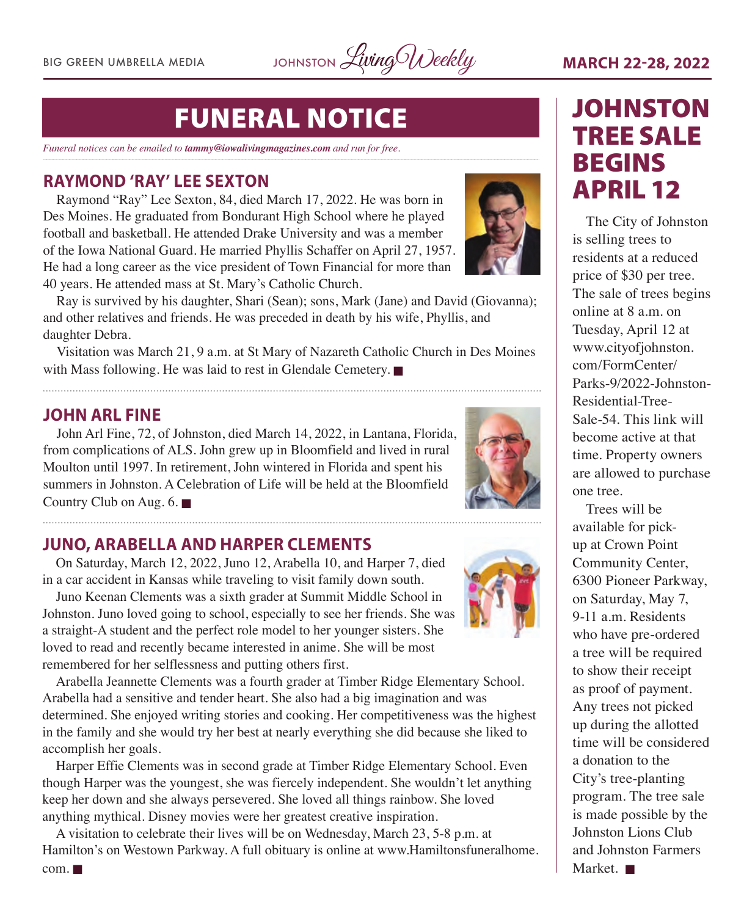BIG GREEN UMBRELLA MEDIA JOHNSTON Living Weekly **MARCH 22-28, 2022** 

## FUNERAL NOTICE

*Funeral notices can be emailed to tammy@iowalivingmagazines.com and run for free.*

#### **RAYMOND 'RAY' LEE SEXTON**

Raymond "Ray" Lee Sexton, 84, died March 17, 2022. He was born in Des Moines. He graduated from Bondurant High School where he played football and basketball. He attended Drake University and was a member of the Iowa National Guard. He married Phyllis Schaffer on April 27, 1957. He had a long career as the vice president of Town Financial for more than 40 years. He attended mass at St. Mary's Catholic Church.



Ray is survived by his daughter, Shari (Sean); sons, Mark (Jane) and David (Giovanna); and other relatives and friends. He was preceded in death by his wife, Phyllis, and daughter Debra.

Visitation was March 21, 9 a.m. at St Mary of Nazareth Catholic Church in Des Moines with Mass following. He was laid to rest in Glendale Cemetery.  $\blacksquare$ 



**JOHN ARL FINE** John Arl Fine, 72, of Johnston, died March 14, 2022, in Lantana, Florida, from complications of ALS. John grew up in Bloomfield and lived in rural Moulton until 1997. In retirement, John wintered in Florida and spent his summers in Johnston. A Celebration of Life will be held at the Bloomfield Country Club on Aug.  $6. \blacksquare$ 

## **JUNO, ARABELLA AND HARPER CLEMENTS**

On Saturday, March 12, 2022, Juno 12, Arabella 10, and Harper 7, died in a car accident in Kansas while traveling to visit family down south.

Juno Keenan Clements was a sixth grader at Summit Middle School in Johnston. Juno loved going to school, especially to see her friends. She was a straight-A student and the perfect role model to her younger sisters. She loved to read and recently became interested in anime. She will be most remembered for her selflessness and putting others first.



Arabella Jeannette Clements was a fourth grader at Timber Ridge Elementary School. Arabella had a sensitive and tender heart. She also had a big imagination and was determined. She enjoyed writing stories and cooking. Her competitiveness was the highest in the family and she would try her best at nearly everything she did because she liked to accomplish her goals.

Harper Effie Clements was in second grade at Timber Ridge Elementary School. Even though Harper was the youngest, she was fiercely independent. She wouldn't let anything keep her down and she always persevered. She loved all things rainbow. She loved anything mythical. Disney movies were her greatest creative inspiration.

A visitation to celebrate their lives will be on Wednesday, March 23, 5-8 p.m. at Hamilton's on Westown Parkway. A full obituary is online at [www.Hamiltonsfuneralhome.](http://www.Hamiltonsfuneralhome.com)

## **JOHNSTON** TREE SALE BEGINS APRIL 12

The City of Johnston is selling trees to residents at a reduced price of \$30 per tree. The sale of trees begins online at 8 a.m. on Tuesday, April 12 at [www.cityofjohnston.](http://www.cityofjohnston.com/FormCenter/Parks-9/2022-Johnston-Residential-Tree-Sale-54) [com/FormCenter/](http://www.cityofjohnston.com/FormCenter/Parks-9/2022-Johnston-Residential-Tree-Sale-54) [Parks-9/2022-Johnston-](http://www.cityofjohnston.com/FormCenter/Parks-9/2022-Johnston-Residential-Tree-Sale-54)[Residential-Tree-](http://www.cityofjohnston.com/FormCenter/Parks-9/2022-Johnston-Residential-Tree-Sale-54)[Sale-54.](http://www.cityofjohnston.com/FormCenter/Parks-9/2022-Johnston-Residential-Tree-Sale-54) This link will become active at that time. Property owners are allowed to purchase one tree.

Trees will be available for pickup at Crown Point Community Center, 6300 Pioneer Parkway, on Saturday, May 7, 9-11 a.m. Residents who have pre-ordered a tree will be required to show their receipt as proof of payment. Any trees not picked up during the allotted time will be considered a donation to the City's tree-planting program. The tree sale is made possible by the Johnston Lions Club and Johnston Farmers Market.  $\blacksquare$ 

 $com. \blacksquare$  $com. \blacksquare$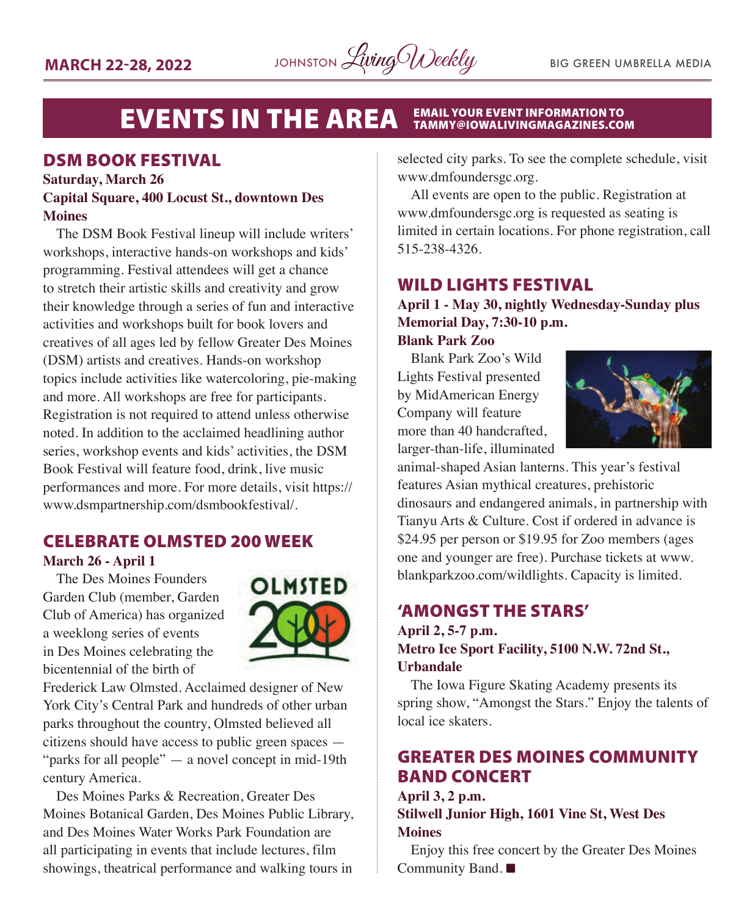

#### **EVENTS IN THE AREA EMAIL YOUR EVENT INFORMATION TO<br>TAMMY@IOWALIVINGMAGAZINES.COM**

#### DSM BOOK FESTIVAL

#### **Saturday, March 26 Capital Square, 400 Locust St., downtown Des Moines**

The DSM Book Festival lineup will include writers' workshops, interactive hands-on workshops and kids' programming. Festival attendees will get a chance to stretch their artistic skills and creativity and grow their knowledge through a series of fun and interactive activities and workshops built for book lovers and creatives of all ages led by fellow Greater Des Moines (DSM) artists and creatives. Hands-on workshop topics include activities like watercoloring, pie-making and more. All workshops are free for participants. Registration is not required to attend unless otherwise noted. In addition to the acclaimed headlining author series, workshop events and kids' activities, the DSM Book Festival will feature food, drink, live music performances and more. For more details, visit [https://](https://www.dsmpartnership.com/dsmbookfestival/) [www.dsmpartnership.com/dsmbookfestival/](https://www.dsmpartnership.com/dsmbookfestival/).

#### CELEBRATE OLMSTED 200 WEEK **March 26 - April 1**

The Des Moines Founders Garden Club (member, Garden Club of America) has organized a weeklong series of events in Des Moines celebrating the bicentennial of the birth of



Frederick Law Olmsted. Acclaimed designer of New York City's Central Park and hundreds of other urban parks throughout the country, Olmsted believed all citizens should have access to public green spaces — "parks for all people" — a novel concept in mid-19th century America.

Des Moines Parks & Recreation, Greater Des Moines Botanical Garden, Des Moines Public Library, and Des Moines Water Works Park Foundation are all participating in events that include lectures, film showings, theatrical performance and walking tours in selected city parks. To see the complete schedule, visit [www.dmfoundersgc.org.](http://www.dmfoundersgc.org)

All events are open to the public. Registration at [www.dmfoundersgc.org](http://www.dmfoundersgc.org) is requested as seating is limited in certain locations. For phone registration, call 515-238-4326.

#### WILD LIGHTS FESTIVAL

**April 1 - May 30, nightly Wednesday-Sunday plus Memorial Day, 7:30-10 p.m.**

**Blank Park Zoo** Blank Park Zoo's Wild

Lights Festival presented by MidAmerican Energy Company will feature more than 40 handcrafted, larger-than-life, illuminated



animal-shaped Asian lanterns. This year's festival features Asian mythical creatures, prehistoric dinosaurs and endangered animals, in partnership with Tianyu Arts & Culture. Cost if ordered in advance is \$24.95 per person or \$19.95 for Zoo members (ages one and younger are free). Purchase tickets at [www.](http://www.blankparkzoo.com/wildlights) [blankparkzoo.com/wildlights.](http://www.blankparkzoo.com/wildlights) Capacity is limited.

#### 'AMONGST THE STARS'

#### **April 2, 5-7 p.m. Metro Ice Sport Facility, 5100 N.W. 72nd St., Urbandale**

The Iowa Figure Skating Academy presents its spring show, "Amongst the Stars." Enjoy the talents of local ice skaters.

#### GREATER DES MOINES COMMUNITY BAND CONCERT

**April 3, 2 p.m.**

**Stilwell Junior High, 1601 Vine St, West Des Moines**

Enjoy this free concert by the Greater Des Moines Community Band.  $\blacksquare$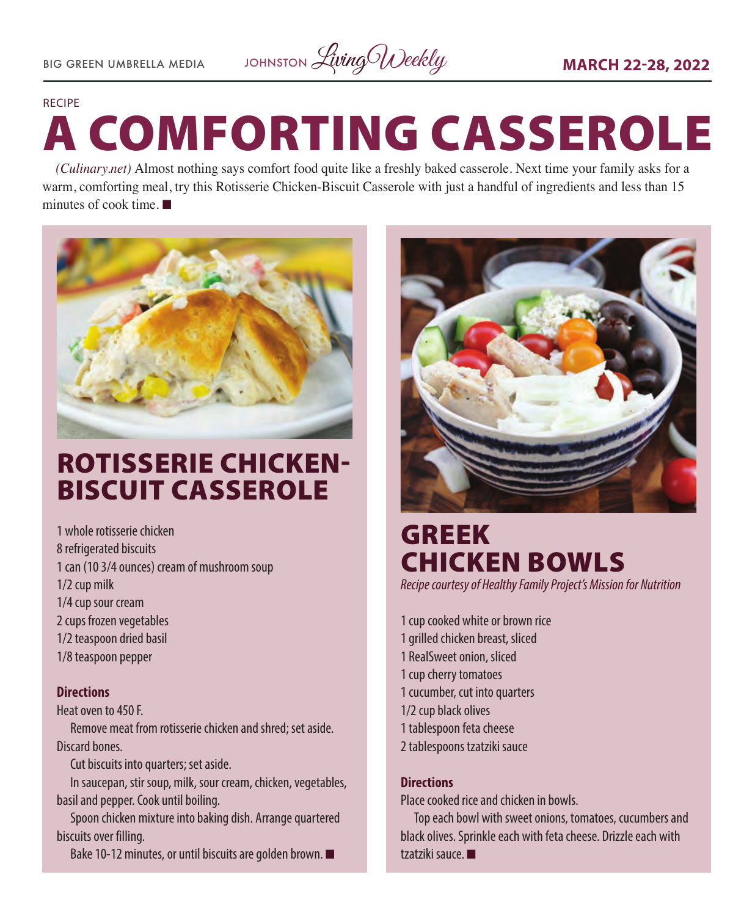

#### RECIPE

# A COMFORTING CASSEROLE

*[\(Culinary.net\)](http://Culinary.net)* Almost nothing says comfort food quite like a freshly baked casserole. Next time your family asks for a warm, comforting meal, try this Rotisserie Chicken-Biscuit Casserole with just a handful of ingredients and less than 15 minutes of cook time.  $\blacksquare$ 



## ROTISSERIE CHICKEN-BISCUIT CASSEROLE

1 whole rotisserie chicken 8 refrigerated biscuits 1 can (10 3/4 ounces) cream of mushroom soup 1/2 cup milk 1/4 cup sour cream 2 cups frozen vegetables 1/2 teaspoon dried basil 1/8 teaspoon pepper

#### **Directions**

Heat oven to 450 F.

Remove meat from rotisserie chicken and shred; set aside. Discard bones.

Cut biscuits into quarters; set aside.

In saucepan, stir soup, milk, sour cream, chicken, vegetables, basil and pepper. Cook until boiling.

Spoon chicken mixture into baking dish. Arrange quartered biscuits over filling.

Bake 10-12 minutes, or until biscuits are golden brown.  $\blacksquare$ 



## GREEK CHICKEN BOWLS

*Recipe courtesy of Healthy Family Project's Mission for Nutrition*

1 cup cooked white or brown rice 1 grilled chicken breast, sliced 1 RealSweet onion, sliced 1 cup cherry tomatoes 1 cucumber, cut into quarters 1/2 cup black olives 1 tablespoon feta cheese 2 tablespoons tzatziki sauce

#### **Directions**

Place cooked rice and chicken in bowls.

Top each bowl with sweet onions, tomatoes, cucumbers and black olives. Sprinkle each with feta cheese. Drizzle each with tzatziki sauce.  $\blacksquare$